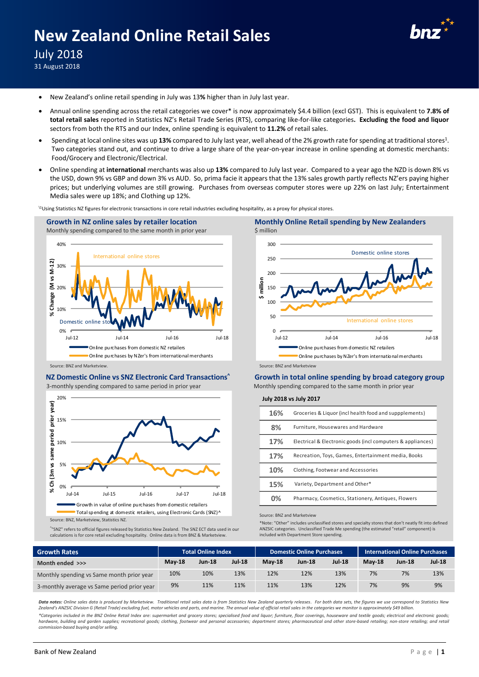# **New Zealand Online Retail Sales**



July 2018

31 August 2018

- New Zealand's online retail spending in July was 13**%** higher than in July last year.
- Annual online spending across the retail categories we cover\* is now approximately \$4.4 billion (excl GST). This is equivalent to **7.8% of total retail sales** reported in Statistics NZ's Retail Trade Series (RTS), comparing like-for-like categories**. Excluding the food and liquor** sectors from both the RTS and our Index, online spending is equivalent to **11.2%** of retail sales.
- Spending at local online sites was up 13% compared to July last year, well ahead of the 2% growth rate for spending at traditional stores<sup>1</sup>. Two categories stand out, and continue to drive a large share of the year-on-year increase in online spending at domestic merchants: Food/Grocery and Electronic/Electrical.
- Online spending at **international** merchants was also up **13%** compared to July last year. Compared to a year ago the NZD is down 8% vs the USD, down 9% vs GBP and down 3% vs AUD. So, prima facie it appears that the 13% sales growth partly reflects NZ'ers paying higher prices; but underlying volumes are still growing. Purchases from overseas computer stores were up 22% on last July; Entertainment Media sales were up 18%; and Clothing up 12%.

\1Using Statistics NZ figures for electronic transactions in core retail industries excluding hospitality, as a proxy for physical stores.



## **NZ Domestic Online vs SNZ Electronic Card Transactions^**

3-monthly spending compared to same period in prior year



Source: BNZ, Marketview, Statistics NZ.

^ "SNZ" refers to official figures released by Statistics New Zealand. The SNZ ECT data used in our calculations is for core retail excluding hospitality. Online data is from BNZ & Marketview.



**Growth in total online spending by broad category group** Monthly spending compared to the same month in prior year

**July 2018 vs July 2017**

| 16% | Groceries & Liquor (incl health food and suppplements)      |
|-----|-------------------------------------------------------------|
| 8%  | Furniture. Housewares and Hardware                          |
| 17% | Electrical & Electronic goods (incl computers & appliances) |
| 17% | Recreation, Toys, Games, Entertainment media, Books         |
| 10% | Clothing, Footwear and Accessories                          |
| 15% | Variety, Department and Other*                              |
|     | Pharmacy, Cosmetics, Stationery, Antiques, Flowers          |

Source: BNZ and Marketview

\*Note: "Other" includes unclassified stores and specialty stores that don't neatly fit into defined ANZSIC categories. Unclassified Trade Me spending (the estimated "retail" component) is included with Department Store spending.

| <b>Growth Rates</b>                         | <b>Total Online Index</b> |               |               | <b>Domestic Online Purchases</b> |               |               | <b>International Online Purchases</b> |               |               |
|---------------------------------------------|---------------------------|---------------|---------------|----------------------------------|---------------|---------------|---------------------------------------|---------------|---------------|
| Month ended >>>                             | <b>May-18</b>             | <b>Jun-18</b> | <b>Jul-18</b> | <b>May-18</b>                    | <b>Jun-18</b> | <b>Jul 18</b> | <b>May-18</b>                         | <b>Jun-18</b> | <b>Jul-18</b> |
| Monthly spending vs Same month prior year   | 10%                       | 10%           | 13%           | 12%                              | 12%           | 13%           | 7%                                    | 7%            | 13%           |
| 3-monthly average vs Same period prior year | 9%                        | 11%           | 11%           | 11%                              | 13%           | 12%           | 7%                                    | 9%            | 9%            |

Data notes: Online sales data is produced by Marketview. Traditional retail sales data is from Statistics New Zealand quarterly releases. For both data sets, the figures we use correspond to Statistics New Zealand's ANZSIC Division G (Retail Trade) excluding fuel, motor vehicles and parts, and marine. The annual value of official retail sales in the categories we monitor is approximately \$49 billion

*\*Categories included in the BNZ Online Retail Index are: supermarket and grocery stores; specialised food and liquor; furniture, floor coverings, houseware and textile goods; electrical and electronic goods;*  hardware, building and garden supplies; recreational goods; clothing, footwear and personal accessories; department stores; pharmaceutical and other store-based retailing; non-store retailing; and retail and retail of the *commission-based buying and/or selling.*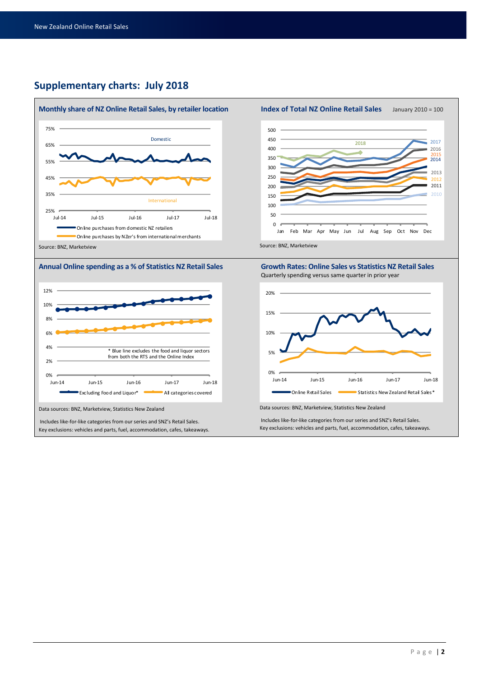## **Supplementary charts: July 2018**









Data sources: BNZ, Marketview, Statistics New Zealand

Includes like-for-like categories from our series and SNZ's Retail Sales. Key exclusions: vehicles and parts, fuel, accommodation, cafes, takeaways.





Quarterly spending versus same quarter in prior year



Data sources: BNZ, Marketview, Statistics New Zealand

Includes like-for-like categories from our series and SNZ's Retail Sales. Key exclusions: vehicles and parts, fuel, accommodation, cafes, takeaways.